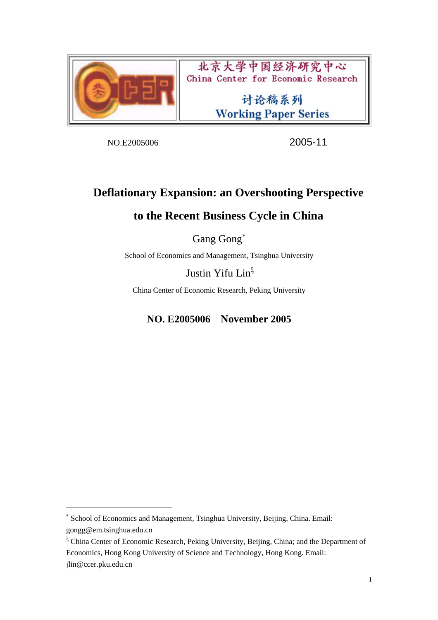

北京大学中国经济研究中心 China Center for Economic Research

> 讨论稿系列 **Working Paper Series**

NO.E2005006 2005-11

## **Deflationary Expansion: an Overshooting Perspective**

## **to the Recent Business Cycle in China**

Gang Gong<sup>∗</sup> 

School of Economics and Management, Tsinghua University

Justin Yifu Lin<sup>ξ</sup>

China Center of Economic Research, Peking University

**NO. E2005006 November 2005** 

 $\overline{a}$ 

ξ China Center of Economic Research, Peking University, Beijing, China; and the Department of Economics, Hong Kong University of Science and Technology, Hong Kong. Email: jlin@ccer.pku.edu.cn

<sup>∗</sup> School of Economics and Management, Tsinghua University, Beijing, China. Email: gongg@em.tsinghua.edu.cn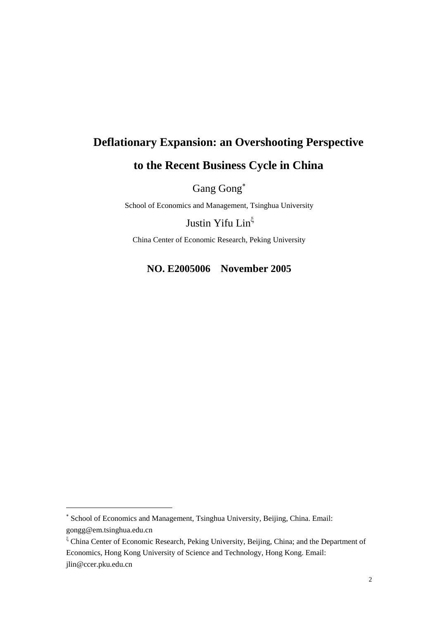# **Deflationary Expansion: an Overshooting Perspective to the Recent Business Cycle in China**

Gang Gong<sup>∗</sup> 

School of Economics and Management, Tsinghua University

Justin Yifu Lin<sup>ξ</sup>

China Center of Economic Research, Peking University

**NO. E2005006 November 2005** 

 $\overline{a}$ 

<sup>∗</sup> School of Economics and Management, Tsinghua University, Beijing, China. Email: gongg@em.tsinghua.edu.cn

ξ China Center of Economic Research, Peking University, Beijing, China; and the Department of Economics, Hong Kong University of Science and Technology, Hong Kong. Email: jlin@ccer.pku.edu.cn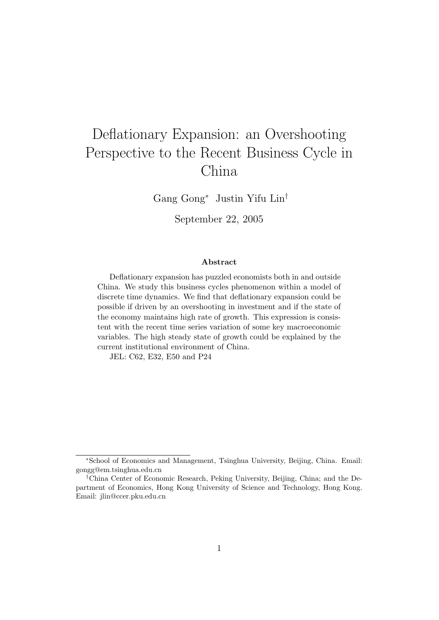# Deflationary Expansion: an Overshooting Perspective to the Recent Business Cycle in China

Gang Gong<sup>∗</sup> Justin Yifu Lin†

September 22, 2005

#### Abstract

Deflationary expansion has puzzled economists both in and outside China. We study this business cycles phenomenon within a model of discrete time dynamics. We find that deflationary expansion could be possible if driven by an overshooting in investment and if the state of the economy maintains high rate of growth. This expression is consistent with the recent time series variation of some key macroeconomic variables. The high steady state of growth could be explained by the current institutional environment of China.

JEL: C62, E32, E50 and P24

<sup>∗</sup>School of Economics and Management, Tsinghua University, Beijing, China. Email: gongg@em.tsinghua.edu.cn

<sup>†</sup>China Center of Economic Research, Peking University, Beijing, China; and the Department of Economics, Hong Kong University of Science and Technology, Hong Kong. Email: jlin@ccer.pku.edu.cn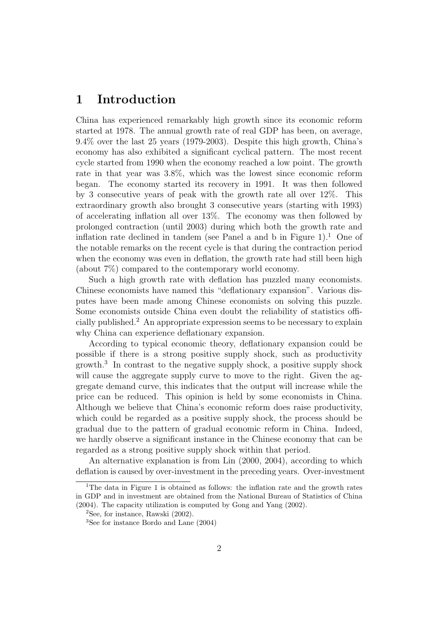## 1 Introduction

China has experienced remarkably high growth since its economic reform started at 1978. The annual growth rate of real GDP has been, on average, 9.4% over the last 25 years (1979-2003). Despite this high growth, China's economy has also exhibited a significant cyclical pattern. The most recent cycle started from 1990 when the economy reached a low point. The growth rate in that year was 3.8%, which was the lowest since economic reform began. The economy started its recovery in 1991. It was then followed by 3 consecutive years of peak with the growth rate all over 12%. This extraordinary growth also brought 3 consecutive years (starting with 1993) of accelerating inflation all over 13%. The economy was then followed by prolonged contraction (until 2003) during which both the growth rate and inflation rate declined in tandem (see Panel a and b in Figure  $1$ ).<sup>1</sup> One of the notable remarks on the recent cycle is that during the contraction period when the economy was even in deflation, the growth rate had still been high (about 7%) compared to the contemporary world economy.

Such a high growth rate with deflation has puzzled many economists. Chinese economists have named this "deflationary expansion". Various disputes have been made among Chinese economists on solving this puzzle. Some economists outside China even doubt the reliability of statistics officially published.<sup>2</sup> An appropriate expression seems to be necessary to explain why China can experience deflationary expansion.

According to typical economic theory, deflationary expansion could be possible if there is a strong positive supply shock, such as productivity growth.<sup>3</sup> In contrast to the negative supply shock, a positive supply shock will cause the aggregate supply curve to move to the right. Given the aggregate demand curve, this indicates that the output will increase while the price can be reduced. This opinion is held by some economists in China. Although we believe that China's economic reform does raise productivity, which could be regarded as a positive supply shock, the process should be gradual due to the pattern of gradual economic reform in China. Indeed, we hardly observe a significant instance in the Chinese economy that can be regarded as a strong positive supply shock within that period.

An alternative explanation is from Lin (2000, 2004), according to which deflation is caused by over-investment in the preceding years. Over-investment

<sup>&</sup>lt;sup>1</sup>The data in Figure 1 is obtained as follows: the inflation rate and the growth rates in GDP and in investment are obtained from the National Bureau of Statistics of China (2004). The capacity utilization is computed by Gong and Yang (2002).

<sup>&</sup>lt;sup>2</sup>See, for instance, Rawski  $(2002)$ .

<sup>3</sup>See for instance Bordo and Lane (2004)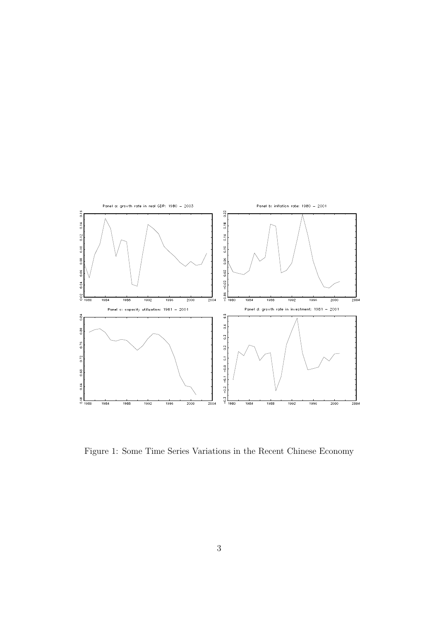

Figure 1: Some Time Series Variations in the Recent Chinese Economy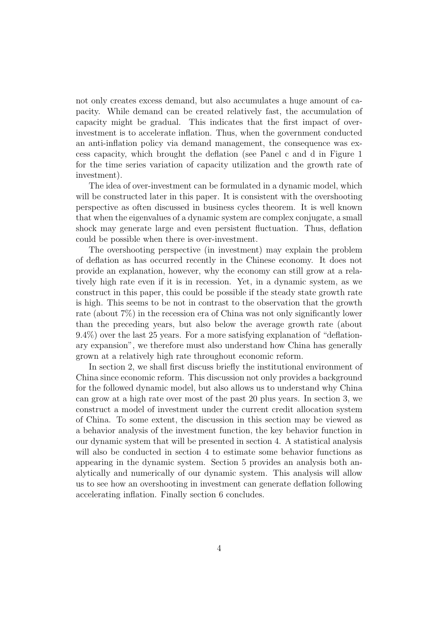not only creates excess demand, but also accumulates a huge amount of capacity. While demand can be created relatively fast, the accumulation of capacity might be gradual. This indicates that the first impact of overinvestment is to accelerate inflation. Thus, when the government conducted an anti-inflation policy via demand management, the consequence was excess capacity, which brought the deflation (see Panel c and d in Figure 1 for the time series variation of capacity utilization and the growth rate of investment).

The idea of over-investment can be formulated in a dynamic model, which will be constructed later in this paper. It is consistent with the overshooting perspective as often discussed in business cycles theorem. It is well known that when the eigenvalues of a dynamic system are complex conjugate, a small shock may generate large and even persistent fluctuation. Thus, deflation could be possible when there is over-investment.

The overshooting perspective (in investment) may explain the problem of deflation as has occurred recently in the Chinese economy. It does not provide an explanation, however, why the economy can still grow at a relatively high rate even if it is in recession. Yet, in a dynamic system, as we construct in this paper, this could be possible if the steady state growth rate is high. This seems to be not in contrast to the observation that the growth rate (about 7%) in the recession era of China was not only significantly lower than the preceding years, but also below the average growth rate (about 9.4%) over the last 25 years. For a more satisfying explanation of "deflationary expansion", we therefore must also understand how China has generally grown at a relatively high rate throughout economic reform.

In section 2, we shall first discuss briefly the institutional environment of China since economic reform. This discussion not only provides a background for the followed dynamic model, but also allows us to understand why China can grow at a high rate over most of the past 20 plus years. In section 3, we construct a model of investment under the current credit allocation system of China. To some extent, the discussion in this section may be viewed as a behavior analysis of the investment function, the key behavior function in our dynamic system that will be presented in section 4. A statistical analysis will also be conducted in section 4 to estimate some behavior functions as appearing in the dynamic system. Section 5 provides an analysis both analytically and numerically of our dynamic system. This analysis will allow us to see how an overshooting in investment can generate deflation following accelerating inflation. Finally section 6 concludes.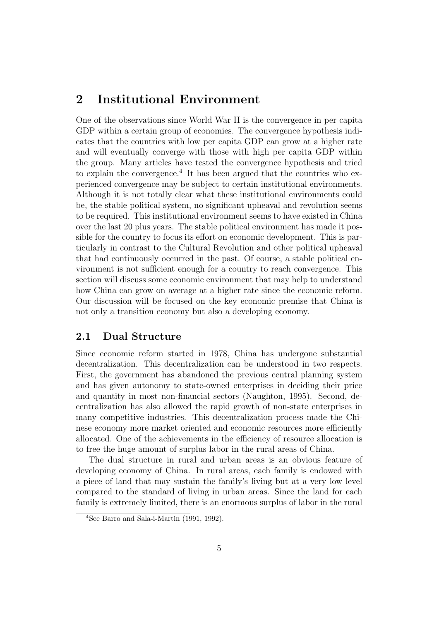## 2 Institutional Environment

One of the observations since World War II is the convergence in per capita GDP within a certain group of economies. The convergence hypothesis indicates that the countries with low per capita GDP can grow at a higher rate and will eventually converge with those with high per capita GDP within the group. Many articles have tested the convergence hypothesis and tried to explain the convergence.<sup>4</sup> It has been argued that the countries who experienced convergence may be subject to certain institutional environments. Although it is not totally clear what these institutional environments could be, the stable political system, no significant upheaval and revolution seems to be required. This institutional environment seems to have existed in China over the last 20 plus years. The stable political environment has made it possible for the country to focus its effort on economic development. This is particularly in contrast to the Cultural Revolution and other political upheaval that had continuously occurred in the past. Of course, a stable political environment is not sufficient enough for a country to reach convergence. This section will discuss some economic environment that may help to understand how China can grow on average at a higher rate since the economic reform. Our discussion will be focused on the key economic premise that China is not only a transition economy but also a developing economy.

#### 2.1 Dual Structure

Since economic reform started in 1978, China has undergone substantial decentralization. This decentralization can be understood in two respects. First, the government has abandoned the previous central planning system and has given autonomy to state-owned enterprises in deciding their price and quantity in most non-financial sectors (Naughton, 1995). Second, decentralization has also allowed the rapid growth of non-state enterprises in many competitive industries. This decentralization process made the Chinese economy more market oriented and economic resources more efficiently allocated. One of the achievements in the efficiency of resource allocation is to free the huge amount of surplus labor in the rural areas of China.

The dual structure in rural and urban areas is an obvious feature of developing economy of China. In rural areas, each family is endowed with a piece of land that may sustain the family's living but at a very low level compared to the standard of living in urban areas. Since the land for each family is extremely limited, there is an enormous surplus of labor in the rural

<sup>4</sup>See Barro and Sala-i-Martin (1991, 1992).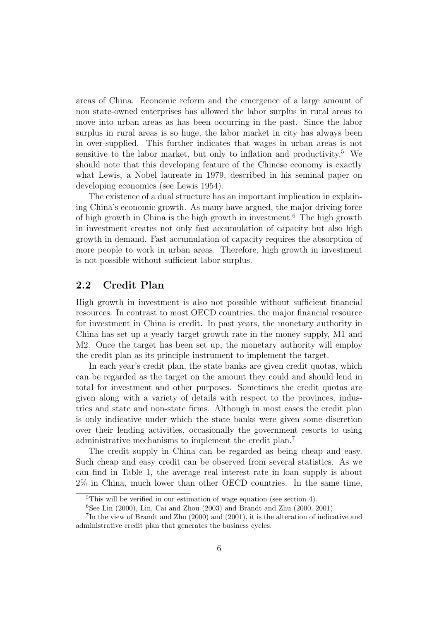areas of China. Economic reform and the emergence of a large amount of non state-owned enterprises has allowed the labor surplus in rural areas to move into urban areas as has been occurring in the past. Since the labor surplus in rural areas is so huge, the labor market in city has always been in over-supplied. This further indicates that wages in urban areas is not sensitive to the labor market, but only to inflation and productivity.<sup>5</sup> We should note that this developing feature of the Chinese economy is exactly what Lewis, a Nobel laureate in 1979, described in his seminal paper on developing economics (see Lewis 1954).

The existence of a dual structure has an important implication in explaining China's economic growth. As many have argued, the major driving force of high growth in China is the high growth in investment.<sup>6</sup> The high growth in investment creates not only fast accumulation of capacity but also high growth in demand. Fast accumulation of capacity requires the absorption of more people to work in urban areas. Therefore, high growth in investment is not possible without sufficient labor surplus.

#### 2.2 Credit Plan

High growth in investment is also not possible without sufficient financial resources. In contrast to most OECD countries, the major financial resource for investment in China is credit. In past years, the monetary authority in China has set up a yearly target growth rate in the money supply, M1 and M2. Once the target has been set up, the monetary authority will employ the credit plan as its principle instrument to implement the target.

In each year's credit plan, the state banks are given credit quotas, which can be regarded as the target on the amount they could and should lend in total for investment and other purposes. Sometimes the credit quotas are given along with a variety of details with respect to the provinces, industries and state and non-state firms. Although in most cases the credit plan is only indicative under which the state banks were given some discretion over their lending activities, occasionally the government resorts to using administrative mechanisms to implement the credit plan.<sup>7</sup>

The credit supply in China can be regarded as being cheap and easy. Such cheap and easy credit can be observed from several statistics. As we can find in Table 1, the average real interest rate in loan supply is about 2% in China, much lower than other OECD countries. In the same time,

<sup>&</sup>lt;sup>5</sup>This will be verified in our estimation of wage equation (see section 4).

<sup>&</sup>lt;sup>6</sup>See Lin (2000), Lin, Cai and Zhou (2003) and Brandt and Zhu (2000, 2001)

<sup>7</sup> In the view of Brandt and Zhu (2000) and (2001), it is the alteration of indicative and administrative credit plan that generates the business cycles.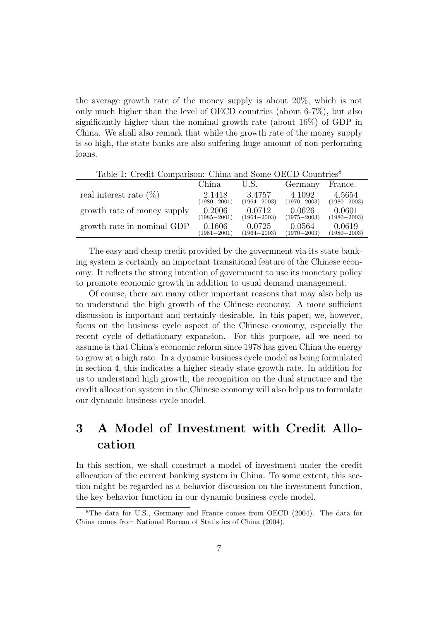the average growth rate of the money supply is about 20%, which is not only much higher than the level of OECD countries (about 6-7%), but also significantly higher than the nominal growth rate (about 16%) of GDP in China. We shall also remark that while the growth rate of the money supply is so high, the state banks are also suffering huge amount of non-performing loans.

| Lable 1. Clean Comparison. China and Some OECD Countries |                 |                 |                 |                 |
|----------------------------------------------------------|-----------------|-----------------|-----------------|-----------------|
|                                                          | China           | U.S.            | Germany         | France.         |
| real interest rate $(\%)$                                | 2.1418          | 3.4757          | 4.1092          | 4.5654          |
|                                                          | $(1980 - 2001)$ | $(1964 - 2003)$ | $(1970 - 2003)$ | $(1980 - 2003)$ |
| growth rate of money supply                              | 0.2006          | 0.0712          | 0.0626          | 0.0601          |
|                                                          | $(1985 - 2001)$ | $(1964 - 2003)$ | $(1975 - 2003)$ | $(1980 - 2003)$ |
| growth rate in nominal GDP                               | 0.1606          | 0.0725          | 0.0564          | 0.0619          |
|                                                          | $(1981 - 2001)$ | $(1964 - 2003)$ | $(1970 - 2003)$ | $(1980 - 2003)$ |

Table 1: Credit Comparison: China and Some OECD Countries<sup>8</sup>

The easy and cheap credit provided by the government via its state banking system is certainly an important transitional feature of the Chinese economy. It reflects the strong intention of government to use its monetary policy to promote economic growth in addition to usual demand management.

Of course, there are many other important reasons that may also help us to understand the high growth of the Chinese economy. A more sufficient discussion is important and certainly desirable. In this paper, we, however, focus on the business cycle aspect of the Chinese economy, especially the recent cycle of deflationary expansion. For this purpose, all we need to assume is that China's economic reform since 1978 has given China the energy to grow at a high rate. In a dynamic business cycle model as being formulated in section 4, this indicates a higher steady state growth rate. In addition for us to understand high growth, the recognition on the dual structure and the credit allocation system in the Chinese economy will also help us to formulate our dynamic business cycle model.

## 3 A Model of Investment with Credit Allocation

In this section, we shall construct a model of investment under the credit allocation of the current banking system in China. To some extent, this section might be regarded as a behavior discussion on the investment function, the key behavior function in our dynamic business cycle model.

<sup>8</sup>The data for U.S., Germany and France comes from OECD (2004). The data for China comes from National Bureau of Statistics of China (2004).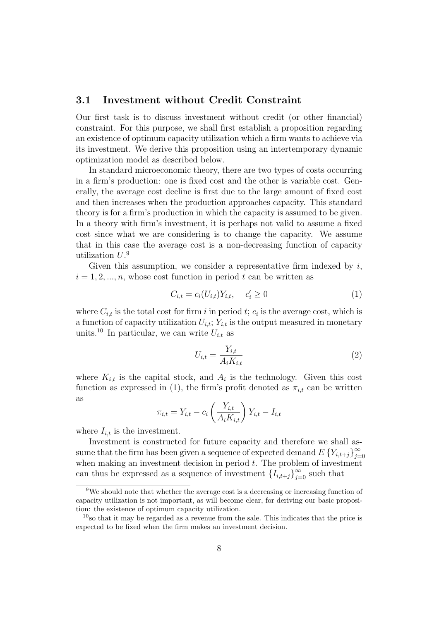#### 3.1 Investment without Credit Constraint

Our first task is to discuss investment without credit (or other financial) constraint. For this purpose, we shall first establish a proposition regarding an existence of optimum capacity utilization which a firm wants to achieve via its investment. We derive this proposition using an intertemporary dynamic optimization model as described below.

In standard microeconomic theory, there are two types of costs occurring in a firm's production: one is fixed cost and the other is variable cost. Generally, the average cost decline is first due to the large amount of fixed cost and then increases when the production approaches capacity. This standard theory is for a firm's production in which the capacity is assumed to be given. In a theory with firm's investment, it is perhaps not valid to assume a fixed cost since what we are considering is to change the capacity. We assume that in this case the average cost is a non-decreasing function of capacity utilization  $U$ .<sup>9</sup>

Given this assumption, we consider a representative firm indexed by  $i$ ,  $i = 1, 2, ..., n$ , whose cost function in period t can be written as

$$
C_{i,t} = c_i(U_{i,t})Y_{i,t}, \quad c'_i \ge 0
$$
\n(1)

where  $C_{i,t}$  is the total cost for firm i in period t;  $c_i$  is the average cost, which is a function of capacity utilization  $U_{i,t}$ ;  $Y_{i,t}$  is the output measured in monetary units.<sup>10</sup> In particular, we can write  $U_{i,t}$  as

$$
U_{i,t} = \frac{Y_{i,t}}{A_i K_{i,t}}\tag{2}
$$

where  $K_{i,t}$  is the capital stock, and  $A_i$  is the technology. Given this cost function as expressed in (1), the firm's profit denoted as  $\pi_{i,t}$  can be written as  $\overline{a}$ 

$$
\pi_{i,t} = Y_{i,t} - c_i \left(\frac{Y_{i,t}}{A_i K_{i,t}}\right) Y_{i,t} - I_{i,t}
$$

where  $I_{i,t}$  is the investment.

Investment is constructed for future capacity and therefore we shall assume that the firm has been given a sequence of expected demand  $E\left\{Y_{i,t+j}\right\}_{i=1}^{\infty}$  $j=0$ when making an investment decision in period  $t$ . The problem of investment can thus be expressed as a sequence of investment  $\{I_{i,t+j}\}_{j=0}^{\infty}$  such that

<sup>&</sup>lt;sup>9</sup>We should note that whether the average cost is a decreasing or increasing function of capacity utilization is not important, as will become clear, for deriving our basic proposition: the existence of optimum capacity utilization.

 $10<sub>so</sub>$  that it may be regarded as a revenue from the sale. This indicates that the price is expected to be fixed when the firm makes an investment decision.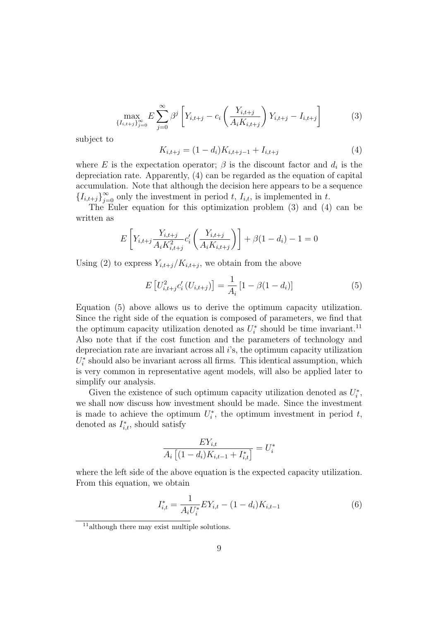$$
\max_{\{I_{i,t+j}\}_{j=0}^{\infty}} E \sum_{j=0}^{\infty} \beta^j \left[ Y_{i,t+j} - c_i \left( \frac{Y_{i,t+j}}{A_i K_{i,t+j}} \right) Y_{i,t+j} - I_{i,t+j} \right]
$$
(3)

subject to

$$
K_{i,t+j} = (1 - d_i)K_{i,t+j-1} + I_{i,t+j}
$$
\n<sup>(4)</sup>

where E is the expectation operator;  $\beta$  is the discount factor and  $d_i$  is the depreciation rate. Apparently, (4) can be regarded as the equation of capital accumulation. Note that although the decision here appears to be a sequence  ${I_{i,t+j}}_{j=0}^{\infty}$  only the investment in period t,  $I_{i,t}$ , is implemented in t.

The Euler equation for this optimization problem (3) and (4) can be written as

$$
E\left[Y_{i,t+j}\frac{Y_{i,t+j}}{A_i K_{i,t+j}^2}c_i'\left(\frac{Y_{i,t+j}}{A_i K_{i,t+j}}\right)\right] + \beta(1 - d_i) - 1 = 0
$$

Using (2) to express  $Y_{i,t+j}/K_{i,t+j}$ , we obtain from the above

$$
E\left[U_{i,t+j}^{2}c'_{i}\left(U_{i,t+j}\right)\right] = \frac{1}{A_{i}}\left[1 - \beta(1 - d_{i})\right]
$$
\n(5)

Equation (5) above allows us to derive the optimum capacity utilization. Since the right side of the equation is composed of parameters, we find that the optimum capacity utilization denoted as  $U_i^*$  should be time invariant.<sup>11</sup> Also note that if the cost function and the parameters of technology and depreciation rate are invariant across all i's, the optimum capacity utilization  $U_i^*$  should also be invariant across all firms. This identical assumption, which is very common in representative agent models, will also be applied later to simplify our analysis.

Given the existence of such optimum capacity utilization denoted as  $U_i^*$ , we shall now discuss how investment should be made. Since the investment is made to achieve the optimum  $U_i^*$ , the optimum investment in period t, denoted as  $I_{i,t}^*$ , should satisfy

$$
\frac{EY_{i,t}}{A_i \left[ (1 - d_i)K_{i,t-1} + I_{i,t}^* \right]} = U_i^*
$$

where the left side of the above equation is the expected capacity utilization. From this equation, we obtain

$$
I_{i,t}^* = \frac{1}{A_i U_i^*} E Y_{i,t} - (1 - d_i) K_{i,t-1}
$$
 (6)

<sup>11</sup>although there may exist multiple solutions.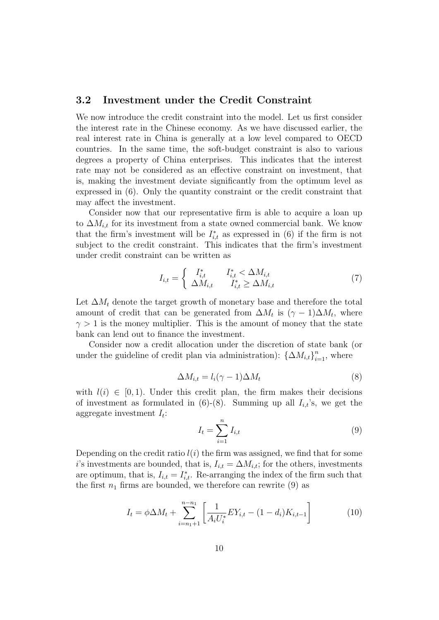#### 3.2 Investment under the Credit Constraint

We now introduce the credit constraint into the model. Let us first consider the interest rate in the Chinese economy. As we have discussed earlier, the real interest rate in China is generally at a low level compared to OECD countries. In the same time, the soft-budget constraint is also to various degrees a property of China enterprises. This indicates that the interest rate may not be considered as an effective constraint on investment, that is, making the investment deviate significantly from the optimum level as expressed in  $(6)$ . Only the quantity constraint or the credit constraint that may affect the investment.

Consider now that our representative firm is able to acquire a loan up to  $\Delta M_{i,t}$  for its investment from a state owned commercial bank. We know that the firm's investment will be  $I_{i,t}^*$  as expressed in (6) if the firm is not subject to the credit constraint. This indicates that the firm's investment under credit constraint can be written as

$$
I_{i,t} = \begin{cases} I_{i,t}^* & I_{i,t}^* < \Delta M_{i,t} \\ \Delta M_{i,t} & I_{i,t}^* \ge \Delta M_{i,t} \end{cases}
$$
 (7)

Let  $\Delta M_t$  denote the target growth of monetary base and therefore the total amount of credit that can be generated from  $\Delta M_t$  is  $(\gamma - 1)\Delta M_t$ , where  $\gamma > 1$  is the money multiplier. This is the amount of money that the state bank can lend out to finance the investment.

Consider now a credit allocation under the discretion of state bank (or under the guideline of credit plan via administration):  $\{\Delta M_{i,t}\}_{i=1}^n$ , where

$$
\Delta M_{i,t} = l_i(\gamma - 1)\Delta M_t \tag{8}
$$

with  $l(i) \in [0, 1)$ . Under this credit plan, the firm makes their decisions of investment as formulated in  $(6)-(8)$ . Summing up all  $I_{i,t}$ 's, we get the aggregate investment  $I_t$ :

$$
I_t = \sum_{i=1}^n I_{i,t} \tag{9}
$$

Depending on the credit ratio  $l(i)$  the firm was assigned, we find that for some i's investments are bounded, that is,  $I_{i,t} = \Delta M_{i,t}$ ; for the others, investments are optimum, that is,  $I_{i,t} = I_{i,t}^*$ . Re-arranging the index of the firm such that the first  $n_1$  firms are bounded, we therefore can rewrite (9) as

$$
I_t = \phi \Delta M_t + \sum_{i=n_1+1}^{n-n_1} \left[ \frac{1}{A_i U_i^*} E Y_{i,t} - (1 - d_i) K_{i,t-1} \right]
$$
 (10)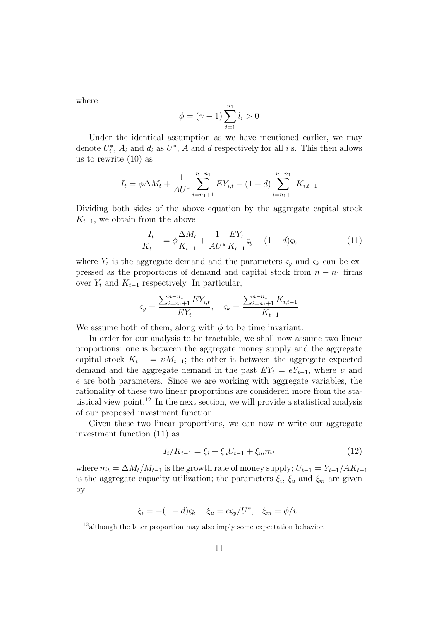where

$$
\phi=(\gamma-1)\sum_{i=1}^{n_1}l_i>0
$$

Under the identical assumption as we have mentioned earlier, we may denote  $U_i^*$ ,  $A_i$  and  $d_i$  as  $U^*$ ,  $A$  and  $d$  respectively for all *i*'s. This then allows us to rewrite (10) as

$$
I_t = \phi \Delta M_t + \frac{1}{AU^*} \sum_{i=n_1+1}^{n-n_1} EY_{i,t} - (1-d) \sum_{i=n_1+1}^{n-n_1} K_{i,t-1}
$$

Dividing both sides of the above equation by the aggregate capital stock  $K_{t-1}$ , we obtain from the above

$$
\frac{I_t}{K_{t-1}} = \phi \frac{\Delta M_t}{K_{t-1}} + \frac{1}{AU^*} \frac{EY_t}{K_{t-1}} \varsigma_y - (1 - d)\varsigma_k
$$
\n(11)

where  $Y_t$  is the aggregate demand and the parameters  $\varsigma_y$  and  $\varsigma_k$  can be expressed as the proportions of demand and capital stock from  $n - n_1$  firms over  $Y_t$  and  $K_{t-1}$  respectively. In particular,

$$
\varsigma_y = \frac{\sum_{i=n_1+1}^{n-n_1} EY_{i,t}}{EY_t}, \quad \varsigma_k = \frac{\sum_{i=n_1+1}^{n-n_1} K_{i,t-1}}{K_{t-1}}
$$

We assume both of them, along with  $\phi$  to be time invariant.

In order for our analysis to be tractable, we shall now assume two linear proportions: one is between the aggregate money supply and the aggregate capital stock  $K_{t-1} = vM_{t-1}$ ; the other is between the aggregate expected demand and the aggregate demand in the past  $EY_t = eY_{t-1}$ , where v and e are both parameters. Since we are working with aggregate variables, the rationality of these two linear proportions are considered more from the statistical view point.<sup>12</sup> In the next section, we will provide a statistical analysis of our proposed investment function.

Given these two linear proportions, we can now re-write our aggregate investment function (11) as

$$
I_t/K_{t-1} = \xi_i + \xi_u U_{t-1} + \xi_m m_t \tag{12}
$$

where  $m_t = \Delta M_t / M_{t-1}$  is the growth rate of money supply;  $U_{t-1} = Y_{t-1} / AK_{t-1}$ is the aggregate capacity utilization; the parameters  $\xi_i$ ,  $\xi_u$  and  $\xi_m$  are given by

 $\xi_i = -(1-d)\varsigma_k, \quad \xi_u = e\varsigma_y/U^*, \quad \xi_m = \phi/v.$ 

<sup>&</sup>lt;sup>12</sup>although the later proportion may also imply some expectation behavior.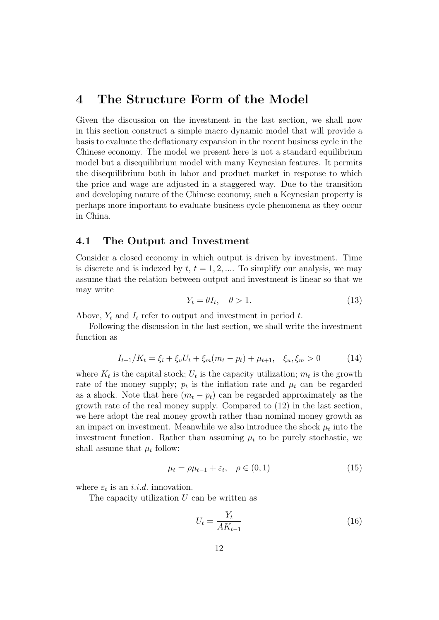### 4 The Structure Form of the Model

Given the discussion on the investment in the last section, we shall now in this section construct a simple macro dynamic model that will provide a basis to evaluate the deflationary expansion in the recent business cycle in the Chinese economy. The model we present here is not a standard equilibrium model but a disequilibrium model with many Keynesian features. It permits the disequilibrium both in labor and product market in response to which the price and wage are adjusted in a staggered way. Due to the transition and developing nature of the Chinese economy, such a Keynesian property is perhaps more important to evaluate business cycle phenomena as they occur in China.

#### 4.1 The Output and Investment

Consider a closed economy in which output is driven by investment. Time is discrete and is indexed by  $t, t = 1, 2, \dots$  To simplify our analysis, we may assume that the relation between output and investment is linear so that we may write

$$
Y_t = \theta I_t, \quad \theta > 1. \tag{13}
$$

Above,  $Y_t$  and  $I_t$  refer to output and investment in period t.

Following the discussion in the last section, we shall write the investment function as

$$
I_{t+1}/K_t = \xi_i + \xi_u U_t + \xi_m (m_t - p_t) + \mu_{t+1}, \quad \xi_u, \xi_m > 0 \tag{14}
$$

where  $K_t$  is the capital stock;  $U_t$  is the capacity utilization;  $m_t$  is the growth rate of the money supply;  $p_t$  is the inflation rate and  $\mu_t$  can be regarded as a shock. Note that here  $(m_t - p_t)$  can be regarded approximately as the growth rate of the real money supply. Compared to (12) in the last section, we here adopt the real money growth rather than nominal money growth as an impact on investment. Meanwhile we also introduce the shock  $\mu_t$  into the investment function. Rather than assuming  $\mu_t$  to be purely stochastic, we shall assume that  $\mu_t$  follow:

$$
\mu_t = \rho \mu_{t-1} + \varepsilon_t, \quad \rho \in (0, 1) \tag{15}
$$

where  $\varepsilon_t$  is an *i.i.d.* innovation.

The capacity utilization  $U$  can be written as

$$
U_t = \frac{Y_t}{AK_{t-1}}\tag{16}
$$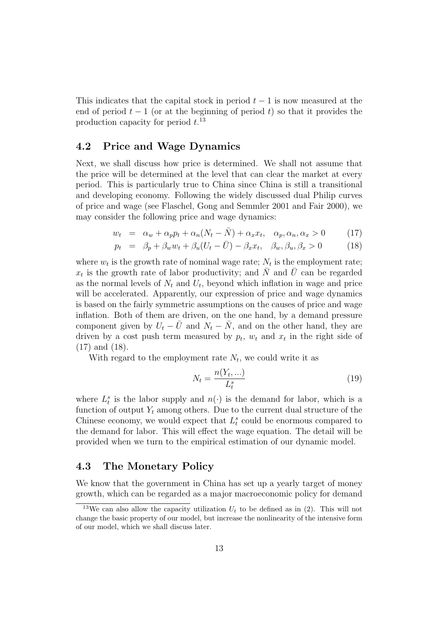This indicates that the capital stock in period  $t - 1$  is now measured at the end of period  $t-1$  (or at the beginning of period t) so that it provides the production capacity for period  $t^{13}$ .

#### 4.2 Price and Wage Dynamics

Next, we shall discuss how price is determined. We shall not assume that the price will be determined at the level that can clear the market at every period. This is particularly true to China since China is still a transitional and developing economy. Following the widely discussed dual Philip curves of price and wage (see Flaschel, Gong and Semmler 2001 and Fair 2000), we may consider the following price and wage dynamics:

$$
w_t = \alpha_w + \alpha_p p_t + \alpha_n (N_t - \bar{N}) + \alpha_x x_t, \quad \alpha_p, \alpha_n, \alpha_x > 0 \tag{17}
$$

$$
p_t = \beta_p + \beta_w w_t + \beta_u (U_t - \bar{U}) - \beta_x x_t, \quad \beta_w, \beta_u, \beta_x > 0 \tag{18}
$$

where  $w_t$  is the growth rate of nominal wage rate;  $N_t$  is the employment rate;  $x_t$  is the growth rate of labor productivity; and  $\overline{N}$  and  $\overline{U}$  can be regarded as the normal levels of  $N_t$  and  $U_t$ , beyond which inflation in wage and price will be accelerated. Apparently, our expression of price and wage dynamics is based on the fairly symmetric assumptions on the causes of price and wage inflation. Both of them are driven, on the one hand, by a demand pressure component given by  $U_t - \bar{U}$  and  $N_t - \bar{N}$ , and on the other hand, they are driven by a cost push term measured by  $p_t$ ,  $w_t$  and  $x_t$  in the right side of (17) and (18).

With regard to the employment rate  $N_t$ , we could write it as

$$
N_t = \frac{n(Y_t, \ldots)}{L_t^s} \tag{19}
$$

where  $L_t^s$  is the labor supply and  $n(\cdot)$  is the demand for labor, which is a function of output  $Y_t$  among others. Due to the current dual structure of the Chinese economy, we would expect that  $L_t^s$  could be enormous compared to the demand for labor. This will effect the wage equation. The detail will be provided when we turn to the empirical estimation of our dynamic model.

#### 4.3 The Monetary Policy

We know that the government in China has set up a yearly target of money growth, which can be regarded as a major macroeconomic policy for demand

<sup>&</sup>lt;sup>13</sup>We can also allow the capacity utilization  $U_t$  to be defined as in (2). This will not change the basic property of our model, but increase the nonlinearity of the intensive form of our model, which we shall discuss later.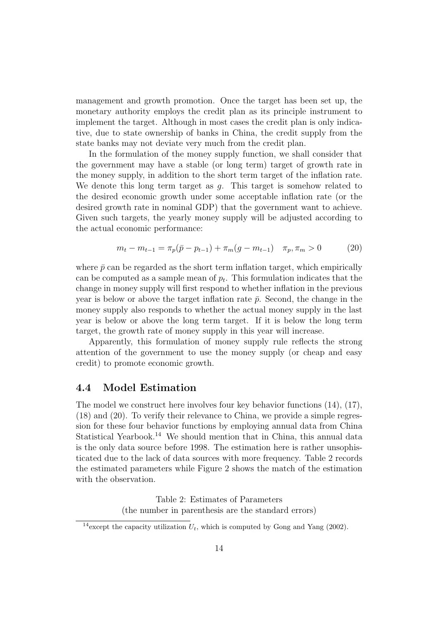management and growth promotion. Once the target has been set up, the monetary authority employs the credit plan as its principle instrument to implement the target. Although in most cases the credit plan is only indicative, due to state ownership of banks in China, the credit supply from the state banks may not deviate very much from the credit plan.

In the formulation of the money supply function, we shall consider that the government may have a stable (or long term) target of growth rate in the money supply, in addition to the short term target of the inflation rate. We denote this long term target as  $g$ . This target is somehow related to the desired economic growth under some acceptable inflation rate (or the desired growth rate in nominal GDP) that the government want to achieve. Given such targets, the yearly money supply will be adjusted according to the actual economic performance:

$$
m_t - m_{t-1} = \pi_p(\bar{p} - p_{t-1}) + \pi_m(g - m_{t-1}) \quad \pi_p, \pi_m > 0 \tag{20}
$$

where  $\bar{p}$  can be regarded as the short term inflation target, which empirically can be computed as a sample mean of  $p_t$ . This formulation indicates that the change in money supply will first respond to whether inflation in the previous year is below or above the target inflation rate  $\bar{p}$ . Second, the change in the money supply also responds to whether the actual money supply in the last year is below or above the long term target. If it is below the long term target, the growth rate of money supply in this year will increase.

Apparently, this formulation of money supply rule reflects the strong attention of the government to use the money supply (or cheap and easy credit) to promote economic growth.

#### 4.4 Model Estimation

The model we construct here involves four key behavior functions (14), (17), (18) and (20). To verify their relevance to China, we provide a simple regression for these four behavior functions by employing annual data from China Statistical Yearbook.<sup>14</sup> We should mention that in China, this annual data is the only data source before 1998. The estimation here is rather unsophisticated due to the lack of data sources with more frequency. Table 2 records the estimated parameters while Figure 2 shows the match of the estimation with the observation.

> Table 2: Estimates of Parameters (the number in parenthesis are the standard errors)

<sup>&</sup>lt;sup>14</sup>except the capacity utilization  $U_t$ , which is computed by Gong and Yang (2002).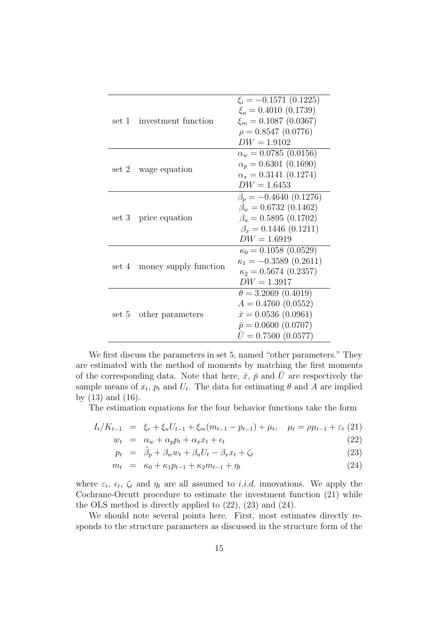| set 1 investment function   | $\xi_i = -0.1571$ (0.1225)<br>$\xi_u = 0.4010 (0.1739)$<br>$\xi_m = 0.1087$ (0.0367)<br>$\rho = 0.8547(0.0776)$<br>$DW = 1.9102$            |
|-----------------------------|---------------------------------------------------------------------------------------------------------------------------------------------|
| set 2 wage equation         | $\alpha_w = 0.0785$ (0.0156)<br>$\alpha_p = 0.6301(0.1690)$<br>$\alpha_x = 0.3141(0.1274)$<br>$DW = 1.6453$                                 |
| set 3 price equation        | $\beta_p = -0.4640(0.1276)$<br>$\beta_w = 0.6732$ (0.1462)<br>$\beta_u = 0.5895(0.1702)$<br>$\beta_x = 0.1446(0.1211)$<br>$DW = 1.6919$     |
| set 4 money supply function | $\kappa_0 = 0.1058$ (0.0529)<br>$\kappa_1 = -0.3589(0.2611)$<br>$\kappa_2 = 0.5674~(0.2357)$<br>$DW = 1.3917$                               |
| set 5 other parameters      | $\theta = 3.2069$ (0.4019)<br>$A = 0.4760(0.0552)$<br>$\bar{x} = 0.0536(0.0961)$<br>$\bar{p} = 0.0600(0.0707)$<br>$\bar{U}=0.7500~(0.0577)$ |

We first discuss the parameters in set 5, named "other parameters." They are estimated with the method of moments by matching the first moments of the corresponding data. Note that here,  $\bar{x}$ ,  $\bar{p}$  and  $\bar{U}$  are respectively the sample means of  $x_t$ ,  $p_t$  and  $U_t$ . The data for estimating  $\theta$  and A are implied by (13) and (16).

The estimation equations for the four behavior functions take the form

$$
I_t/K_{t-1} = \xi_r + \xi_u U_{t-1} + \xi_m (m_{t-1} - p_{t-1}) + \mu_t, \quad \mu_t = \rho \mu_{t-1} + \varepsilon_t (21)
$$

$$
w_t = \alpha_w + \alpha_p p_t + \alpha_x x_t + \epsilon_t \tag{22}
$$

$$
p_t = \tilde{\beta}_p + \beta_w w_t + \beta_u U_t - \beta_x x_t + \zeta_t \tag{23}
$$

$$
m_t = \kappa_0 + \kappa_1 p_{t-1} + \kappa_2 m_{t-1} + \eta_t \tag{24}
$$

where  $\varepsilon_t$ ,  $\epsilon_t$ ,  $\zeta_t$  and  $\eta_t$  are all assumed to *i.i.d.* innovations. We apply the Cochrane-Orcutt procedure to estimate the investment function (21) while the OLS method is directly applied to (22), (23) and (24).

We should note several points here. First, most estimates directly responds to the structure parameters as discussed in the structure form of the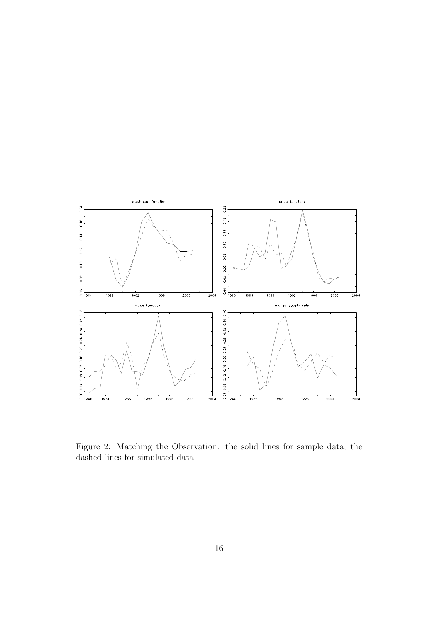

Figure 2: Matching the Observation: the solid lines for sample data, the dashed lines for simulated data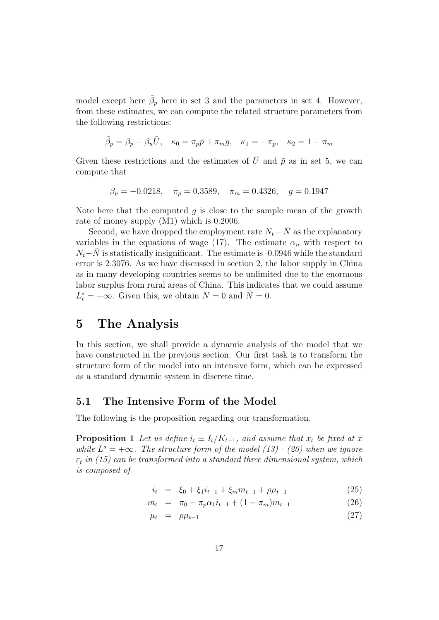model except here  $\tilde{\beta}_p$  here in set 3 and the parameters in set 4. However, from these estimates, we can compute the related structure parameters from the following restrictions:

$$
\tilde{\beta}_p=\beta_p-\beta_u\bar{U},\quad \kappa_0=\pi_p\bar{p}+\pi_m g,\quad \kappa_1=-\pi_p,\quad \kappa_2=1-\pi_m
$$

Given these restrictions and the estimates of  $\bar{U}$  and  $\bar{p}$  as in set 5, we can compute that

$$
\beta_p = -0.0218
$$
,  $\pi_p = 0.3589$ ,  $\pi_m = 0.4326$ ,  $g = 0.1947$ 

Note here that the computed  $q$  is close to the sample mean of the growth rate of money supply (M1) which is 0.2006.

Second, we have dropped the employment rate  $N_t-\bar{N}$  as the explanatory variables in the equations of wage (17). The estimate  $\alpha_n$  with respect to  $N_t-\bar{N}$  is statistically insignificant. The estimate is -0.0946 while the standard error is 2.3076. As we have discussed in section 2, the labor supply in China as in many developing countries seems to be unlimited due to the enormous labor surplus from rural areas of China. This indicates that we could assume  $L_t^s = +\infty$ . Given this, we obtain  $N = 0$  and  $\overline{N} = 0$ .

### 5 The Analysis

In this section, we shall provide a dynamic analysis of the model that we have constructed in the previous section. Our first task is to transform the structure form of the model into an intensive form, which can be expressed as a standard dynamic system in discrete time.

#### 5.1 The Intensive Form of the Model

The following is the proposition regarding our transformation.

**Proposition 1** Let us define  $i_t \equiv I_t/K_{t-1}$ , and assume that  $x_t$  be fixed at  $\bar{x}$ while  $L^s = +\infty$ . The structure form of the model (13) - (20) when we ignore  $\varepsilon_t$  in (15) can be transformed into a standard three dimensional system, which is composed of

$$
i_t = \xi_0 + \xi_1 i_{t-1} + \xi_m m_{t-1} + \rho \mu_{t-1} \tag{25}
$$

$$
m_t = \pi_0 - \pi_p \alpha_1 i_{t-1} + (1 - \pi_m) m_{t-1}
$$
\n(26)

$$
\mu_t = \rho \mu_{t-1} \tag{27}
$$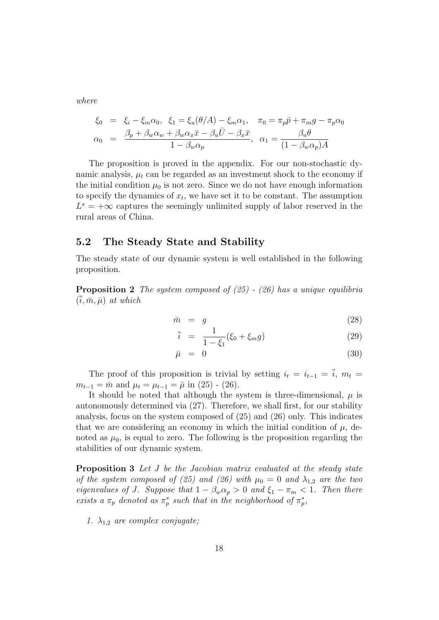where

$$
\xi_0 = \xi_i - \xi_m \alpha_0, \quad \xi_1 = \xi_u(\theta/A) - \xi_m \alpha_1, \quad \pi_0 = \pi_p \bar{p} + \pi_m g - \pi_p \alpha_0
$$

$$
\alpha_0 = \frac{\beta_p + \beta_w \alpha_w + \beta_w \alpha_x \bar{x} - \beta_u \bar{U} - \beta_x \bar{x}}{1 - \beta_w \alpha_p}, \quad \alpha_1 = \frac{\beta_u \theta}{(1 - \beta_w \alpha_p)A}
$$

The proposition is proved in the appendix. For our non-stochastic dynamic analysis,  $\mu_t$  can be regarded as an investment shock to the economy if the initial condition  $\mu_0$  is not zero. Since we do not have enough information to specify the dynamics of  $x_t$ , we have set it to be constant. The assumption  $L^s = +\infty$  captures the seemingly unlimited supply of labor reserved in the rural areas of China.

#### 5.2 The Steady State and Stability

The steady state of our dynamic system is well established in the following proposition.

**Proposition 2** The system composed of  $(25)$  -  $(26)$  has a unique equilibria  $(i, \bar{m}, \bar{\mu})$  at which

$$
\bar{m} = g \tag{28}
$$

$$
\bar{i} = \frac{1}{1 - \xi_1} (\xi_0 + \xi_m g) \tag{29}
$$

$$
\bar{\mu} = 0 \tag{30}
$$

The proof of this proposition is trivial by setting  $i_t = i_{t-1} = \overline{i}$ ,  $m_t =$  $m_{t-1} = \bar{m}$  and  $\mu_t = \mu_{t-1} = \bar{\mu}$  in (25) - (26).

It should be noted that although the system is three-dimensional,  $\mu$  is autonomously determined via (27). Therefore, we shall first, for our stability analysis, focus on the system composed of (25) and (26) only. This indicates that we are considering an economy in which the initial condition of  $\mu$ , denoted as  $\mu_0$ , is equal to zero. The following is the proposition regarding the stabilities of our dynamic system.

**Proposition 3** Let J be the Jacobian matrix evaluated at the steady state of the system composed of (25) and (26) with  $\mu_0 = 0$  and  $\lambda_{1,2}$  are the two eigenvalues of J. Suppose that  $1 - \beta_w \alpha_p > 0$  and  $\xi_1 - \pi_m < 1$ . Then there exists a  $\pi_p$  denoted as  $\pi_p^*$  such that in the neighborhood of  $\pi_p^*$ ,

1.  $\lambda_{1,2}$  are complex conjugate;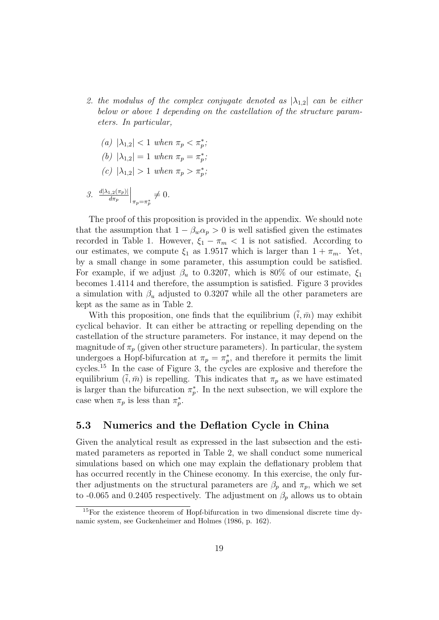- 2. the modulus of the complex conjugate denoted as  $|\lambda_{1,2}|$  can be either below or above 1 depending on the castellation of the structure parameters. In particular,
	- (a)  $|\lambda_{1,2}| < 1$  when  $\pi_p < \pi_p^*$ ;
	- (b)  $|\lambda_{1,2}| = 1$  when  $\pi_p = \pi_p^*$ ;
	- (c)  $|\lambda_{1,2}| > 1$  when  $\pi_p > \pi_p^*$ ;

3. 
$$
\frac{d|\lambda_{1,2}(\pi_p)|}{d\pi_p}\Big|_{\pi_p=\pi_p^*}\neq 0.
$$

The proof of this proposition is provided in the appendix. We should note that the assumption that  $1 - \beta_w \alpha_p > 0$  is well satisfied given the estimates recorded in Table 1. However,  $\xi_1 - \pi_m < 1$  is not satisfied. According to our estimates, we compute  $\xi_1$  as 1.9517 which is larger than  $1 + \pi_m$ . Yet, by a small change in some parameter, this assumption could be satisfied. For example, if we adjust  $\beta_u$  to 0.3207, which is 80% of our estimate,  $\xi_1$ becomes 1.4114 and therefore, the assumption is satisfied. Figure 3 provides a simulation with  $\beta_u$  adjusted to 0.3207 while all the other parameters are kept as the same as in Table 2.

With this proposition, one finds that the equilibrium  $(i, \bar{m})$  may exhibit cyclical behavior. It can either be attracting or repelling depending on the castellation of the structure parameters. For instance, it may depend on the magnitude of  $\pi_p$  (given other structure parameters). In particular, the system undergoes a Hopf-bifurcation at  $\pi_p = \pi_p^*$ , and therefore it permits the limit cycles.<sup>15</sup> In the case of Figure 3, the cycles are explosive and therefore the equilibrium  $(\bar{i}, \bar{m})$  is repelling. This indicates that  $\pi_p$  as we have estimated is larger than the bifurcation  $\pi_p^*$ . In the next subsection, we will explore the case when  $\pi_p$  is less than  $\pi_p^*$ .

#### 5.3 Numerics and the Deflation Cycle in China

Given the analytical result as expressed in the last subsection and the estimated parameters as reported in Table 2, we shall conduct some numerical simulations based on which one may explain the deflationary problem that has occurred recently in the Chinese economy. In this exercise, the only further adjustments on the structural parameters are  $\beta_p$  and  $\pi_p$ , which we set to -0.065 and 0.2405 respectively. The adjustment on  $\beta_p$  allows us to obtain

<sup>&</sup>lt;sup>15</sup>For the existence theorem of Hopf-bifurcation in two dimensional discrete time dynamic system, see Guckenheimer and Holmes (1986, p. 162).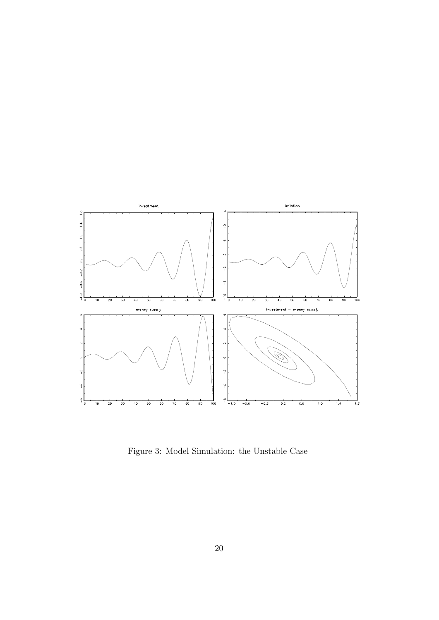

Figure 3: Model Simulation: the Unstable Case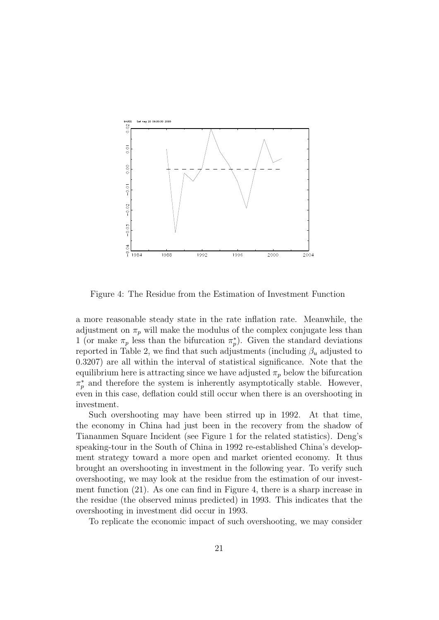

Figure 4: The Residue from the Estimation of Investment Function

a more reasonable steady state in the rate inflation rate. Meanwhile, the adjustment on  $\pi_p$  will make the modulus of the complex conjugate less than 1 (or make  $\pi_p$  less than the bifurcation  $\pi_p^*$ ). Given the standard deviations reported in Table 2, we find that such adjustments (including  $\beta_u$  adjusted to 0.3207) are all within the interval of statistical significance. Note that the equilibrium here is attracting since we have adjusted  $\pi_p$  below the bifurcation  $\pi_p^*$  and therefore the system is inherently asymptotically stable. However, even in this case, deflation could still occur when there is an overshooting in investment.

Such overshooting may have been stirred up in 1992. At that time, the economy in China had just been in the recovery from the shadow of Tiananmen Square Incident (see Figure 1 for the related statistics). Deng's speaking-tour in the South of China in 1992 re-established China's development strategy toward a more open and market oriented economy. It thus brought an overshooting in investment in the following year. To verify such overshooting, we may look at the residue from the estimation of our investment function (21). As one can find in Figure 4, there is a sharp increase in the residue (the observed minus predicted) in 1993. This indicates that the overshooting in investment did occur in 1993.

To replicate the economic impact of such overshooting, we may consider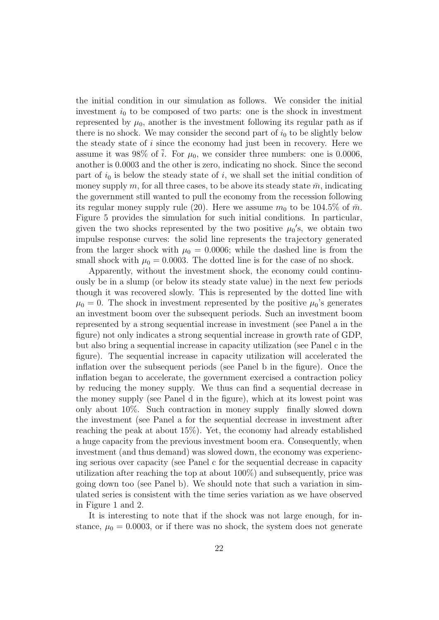the initial condition in our simulation as follows. We consider the initial investment  $i_0$  to be composed of two parts: one is the shock in investment represented by  $\mu_0$ , another is the investment following its regular path as if there is no shock. We may consider the second part of  $i_0$  to be slightly below the steady state of  $i$  since the economy had just been in recovery. Here we assume it was 98% of  $\overline{i}$ . For  $\mu_0$ , we consider three numbers: one is 0.0006, another is 0.0003 and the other is zero, indicating no shock. Since the second part of  $i_0$  is below the steady state of i, we shall set the initial condition of money supply m, for all three cases, to be above its steady state  $\bar{m}$ , indicating the government still wanted to pull the economy from the recession following its regular money supply rule (20). Here we assume  $m_0$  to be 104.5% of  $\bar{m}$ . Figure 5 provides the simulation for such initial conditions. In particular, given the two shocks represented by the two positive  $\mu_0$ 's, we obtain two impulse response curves: the solid line represents the trajectory generated from the larger shock with  $\mu_0 = 0.0006$ ; while the dashed line is from the small shock with  $\mu_0 = 0.0003$ . The dotted line is for the case of no shock.

Apparently, without the investment shock, the economy could continuously be in a slump (or below its steady state value) in the next few periods though it was recovered slowly. This is represented by the dotted line with  $\mu_0 = 0$ . The shock in investment represented by the positive  $\mu_0$ 's generates an investment boom over the subsequent periods. Such an investment boom represented by a strong sequential increase in investment (see Panel a in the figure) not only indicates a strong sequential increase in growth rate of GDP, but also bring a sequential increase in capacity utilization (see Panel c in the figure). The sequential increase in capacity utilization will accelerated the inflation over the subsequent periods (see Panel b in the figure). Once the inflation began to accelerate, the government exercised a contraction policy by reducing the money supply. We thus can find a sequential decrease in the money supply (see Panel d in the figure), which at its lowest point was only about 10%. Such contraction in money supply finally slowed down the investment (see Panel a for the sequential decrease in investment after reaching the peak at about 15%). Yet, the economy had already established a huge capacity from the previous investment boom era. Consequently, when investment (and thus demand) was slowed down, the economy was experiencing serious over capacity (see Panel c for the sequential decrease in capacity utilization after reaching the top at about 100%) and subsequently, price was going down too (see Panel b). We should note that such a variation in simulated series is consistent with the time series variation as we have observed in Figure 1 and 2.

It is interesting to note that if the shock was not large enough, for instance,  $\mu_0 = 0.0003$ , or if there was no shock, the system does not generate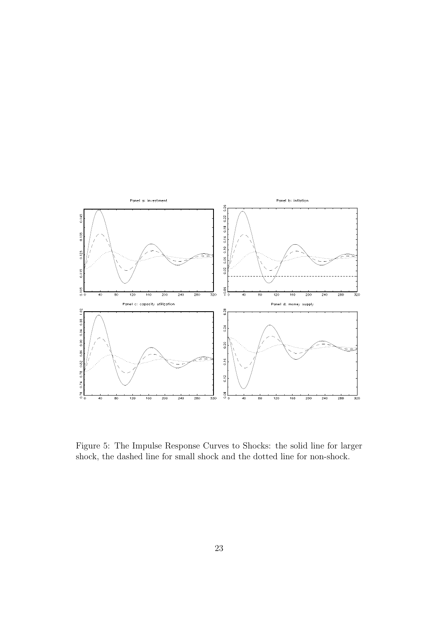

Figure 5: The Impulse Response Curves to Shocks: the solid line for larger shock, the dashed line for small shock and the dotted line for non-shock.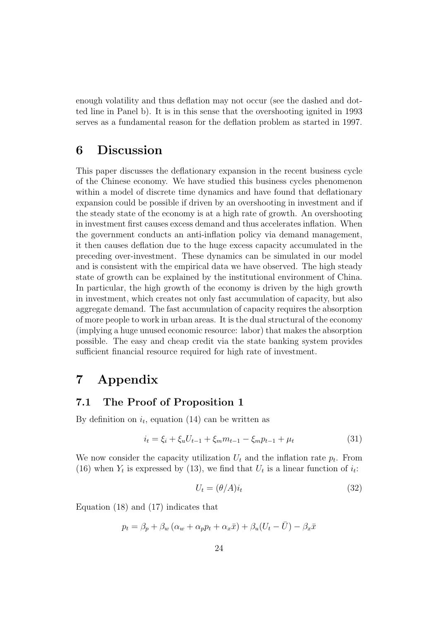enough volatility and thus deflation may not occur (see the dashed and dotted line in Panel b). It is in this sense that the overshooting ignited in 1993 serves as a fundamental reason for the deflation problem as started in 1997.

## 6 Discussion

This paper discusses the deflationary expansion in the recent business cycle of the Chinese economy. We have studied this business cycles phenomenon within a model of discrete time dynamics and have found that deflationary expansion could be possible if driven by an overshooting in investment and if the steady state of the economy is at a high rate of growth. An overshooting in investment first causes excess demand and thus accelerates inflation. When the government conducts an anti-inflation policy via demand management, it then causes deflation due to the huge excess capacity accumulated in the preceding over-investment. These dynamics can be simulated in our model and is consistent with the empirical data we have observed. The high steady state of growth can be explained by the institutional environment of China. In particular, the high growth of the economy is driven by the high growth in investment, which creates not only fast accumulation of capacity, but also aggregate demand. The fast accumulation of capacity requires the absorption of more people to work in urban areas. It is the dual structural of the economy (implying a huge unused economic resource: labor) that makes the absorption possible. The easy and cheap credit via the state banking system provides sufficient financial resource required for high rate of investment.

### 7 Appendix

#### 7.1 The Proof of Proposition 1

By definition on  $i_t$ , equation (14) can be written as

$$
i_t = \xi_i + \xi_u U_{t-1} + \xi_m m_{t-1} - \xi_m p_{t-1} + \mu_t \tag{31}
$$

We now consider the capacity utilization  $U_t$  and the inflation rate  $p_t$ . From (16) when  $Y_t$  is expressed by (13), we find that  $U_t$  is a linear function of  $i_t$ :

$$
U_t = (\theta/A)i_t \tag{32}
$$

Equation (18) and (17) indicates that

$$
p_t = \beta_p + \beta_w (\alpha_w + \alpha_p p_t + \alpha_x \bar{x}) + \beta_u (U_t - \bar{U}) - \beta_x \bar{x}
$$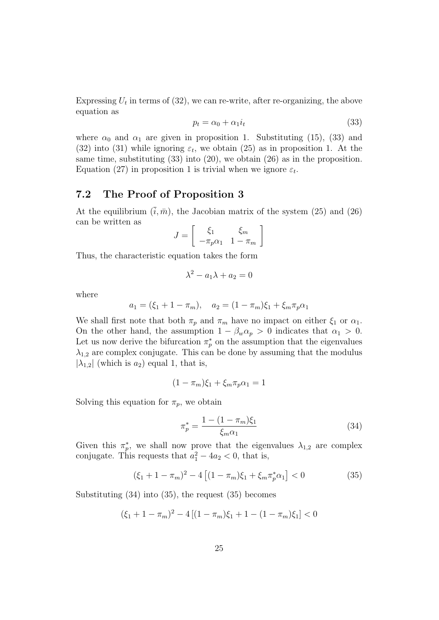Expressing  $U_t$  in terms of (32), we can re-write, after re-organizing, the above equation as

$$
p_t = \alpha_0 + \alpha_1 i_t \tag{33}
$$

where  $\alpha_0$  and  $\alpha_1$  are given in proposition 1. Substituting (15), (33) and (32) into (31) while ignoring  $\varepsilon_t$ , we obtain (25) as in proposition 1. At the same time, substituting  $(33)$  into  $(20)$ , we obtain  $(26)$  as in the proposition. Equation (27) in proposition 1 is trivial when we ignore  $\varepsilon_t$ .

#### 7.2 The Proof of Proposition 3

At the equilibrium  $(\bar{i}, \bar{m})$ , the Jacobian matrix of the system (25) and (26) can be written as ·  $\overline{a}$ 

$$
J = \left[ \begin{array}{cc} \xi_1 & \xi_m \\ -\pi_p \alpha_1 & 1 - \pi_m \end{array} \right]
$$

Thus, the characteristic equation takes the form

$$
\lambda^2 - a_1 \lambda + a_2 = 0
$$

where

$$
a_1 = (\xi_1 + 1 - \pi_m), \quad a_2 = (1 - \pi_m)\xi_1 + \xi_m \pi_p \alpha_1
$$

We shall first note that both  $\pi_p$  and  $\pi_m$  have no impact on either  $\xi_1$  or  $\alpha_1$ . On the other hand, the assumption  $1 - \beta_w \alpha_p > 0$  indicates that  $\alpha_1 > 0$ . Let us now derive the bifurcation  $\pi_p^*$  on the assumption that the eigenvalues  $\lambda_{1,2}$  are complex conjugate. This can be done by assuming that the modulus  $|\lambda_{1,2}|$  (which is  $a_2$ ) equal 1, that is,

$$
(1 - \pi_m)\xi_1 + \xi_m \pi_p \alpha_1 = 1
$$

Solving this equation for  $\pi_p$ , we obtain

$$
\pi_p^* = \frac{1 - (1 - \pi_m)\xi_1}{\xi_m \alpha_1} \tag{34}
$$

Given this  $\pi_p^*$ , we shall now prove that the eigenvalues  $\lambda_{1,2}$  are complex conjugate. This requests that  $a_1^2 - 4a_2 < 0$ , that is,

$$
(\xi_1 + 1 - \pi_m)^2 - 4\left[ (1 - \pi_m)\xi_1 + \xi_m \pi_p^* \alpha_1 \right] < 0 \tag{35}
$$

Substituting (34) into (35), the request (35) becomes

$$
(\xi_1 + 1 - \pi_m)^2 - 4[(1 - \pi_m)\xi_1 + 1 - (1 - \pi_m)\xi_1] < 0
$$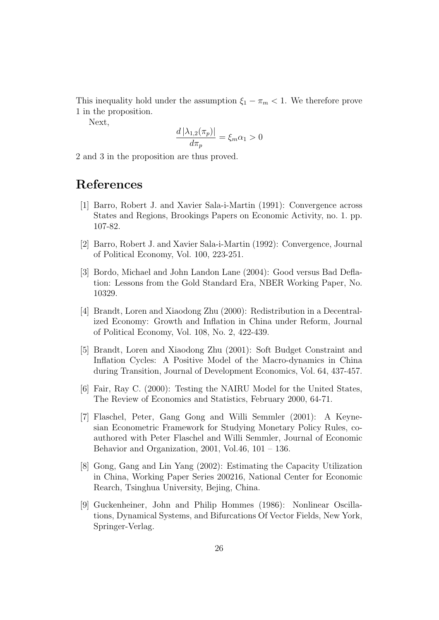This inequality hold under the assumption  $\xi_1 - \pi_m < 1$ . We therefore prove 1 in the proposition.

Next,

$$
\frac{d\,|\lambda_{1,2}(\pi_p)|}{d\pi_p} = \xi_m \alpha_1 > 0
$$

2 and 3 in the proposition are thus proved.

## References

- [1] Barro, Robert J. and Xavier Sala-i-Martin (1991): Convergence across States and Regions, Brookings Papers on Economic Activity, no. 1. pp. 107-82.
- [2] Barro, Robert J. and Xavier Sala-i-Martin (1992): Convergence, Journal of Political Economy, Vol. 100, 223-251.
- [3] Bordo, Michael and John Landon Lane (2004): Good versus Bad Deflation: Lessons from the Gold Standard Era, NBER Working Paper, No. 10329.
- [4] Brandt, Loren and Xiaodong Zhu (2000): Redistribution in a Decentralized Economy: Growth and Inflation in China under Reform, Journal of Political Economy, Vol. 108, No. 2, 422-439.
- [5] Brandt, Loren and Xiaodong Zhu (2001): Soft Budget Constraint and Inflation Cycles: A Positive Model of the Macro-dynamics in China during Transition, Journal of Development Economics, Vol. 64, 437-457.
- [6] Fair, Ray C. (2000): Testing the NAIRU Model for the United States, The Review of Economics and Statistics, February 2000, 64-71.
- [7] Flaschel, Peter, Gang Gong and Willi Semmler (2001): A Keynesian Econometric Framework for Studying Monetary Policy Rules, coauthored with Peter Flaschel and Willi Semmler, Journal of Economic Behavior and Organization,  $2001$ , Vol.46,  $101 - 136$ .
- [8] Gong, Gang and Lin Yang (2002): Estimating the Capacity Utilization in China, Working Paper Series 200216, National Center for Economic Rearch, Tsinghua University, Bejing, China.
- [9] Guckenheiner, John and Philip Hommes (1986): Nonlinear Oscillations, Dynamical Systems, and Bifurcations Of Vector Fields, New York, Springer-Verlag.